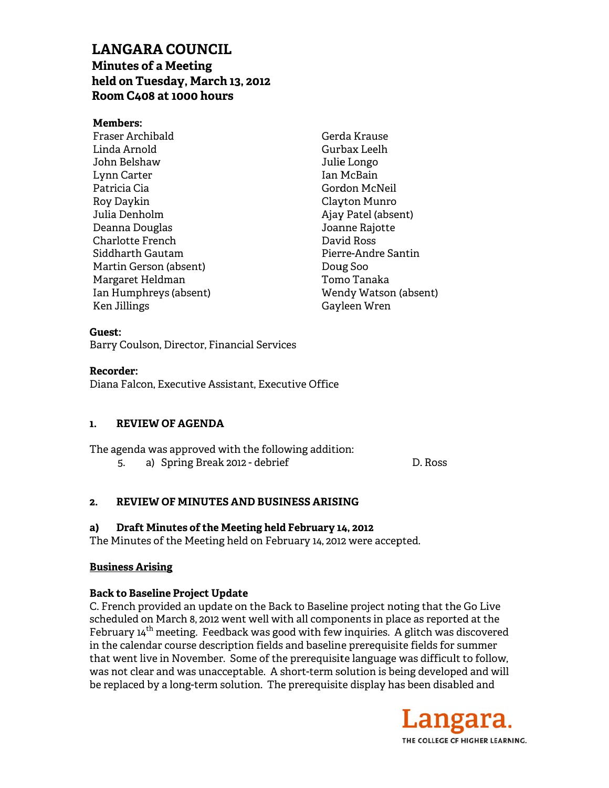# **LAN NGARA C COUNCIL Min nutes of a M Meeting**  LANGARA COUNCIL<br>Minutes of a Meeting<br>held on Tuesday, March 13, 2012 **Roo m C408 at 1000 hour rs**

## **Mem mbers:**

Fras er Archibald d Lind da Arnold John n Belshaw Lynn n Carter Patr ricia Cia Roy Daykin Julia a Denholm Deanna Douglas Charlotte French Deanna Douglas<br>Charlotte French<br>Siddharth Gautam Mart tin Gerson (a absent) Marg garet Heldm man Ian H Humphreys (absent) Ken Jillings

Gerd da Krause Gurb bax Leelh Julie Longo Ian M McBain Gord don McNeil Clay yton Munro Ajay Patel (absent) Joanne Rajotte Dav vid Ross Pier rre-Andre Sa antin Dou ug Soo Tom mo Tanaka Wen ndy Watson (absent) Gay yleen Wren

### **Guest:**

Barry Coulson, Director, Financial Services

# **Reco rder:**

Diana Falcon, Executive Assistant, Executive Office

#### **1. REVIEW OF F AGENDA**

The agenda was approved with the following addition: 5. a) Sp pring Break 2 2012 - debrie ef

D. Ross

#### **2. REVIEW OF F MINUTES S AND BUSIN NESS ARISI ING**

#### **a)**  Draft Minutes of the Meeting held February 14, 2012

The Minutes of the Meeting held on February 14, 2012 were accepted.

## **Busin ness Arising**

# Business Arising<br>Back to Baseline Project Update

C. French provided an update on the Back to Baseline project noting that the Go Live scheduled on March 8, 2012 went well with all components in place as reported at the February 14<sup>th</sup> meeting. Feedback was good with few inquiries. A glitch was discovered in the calendar course description fields and baseline prerequisite fields for summer that went live in November. Some of the prerequisite language was difficult to follow, was not clear and was unacceptable. A short-term solution is being developed and will be replaced by a long-term solution. The prerequisite display has been disabled and

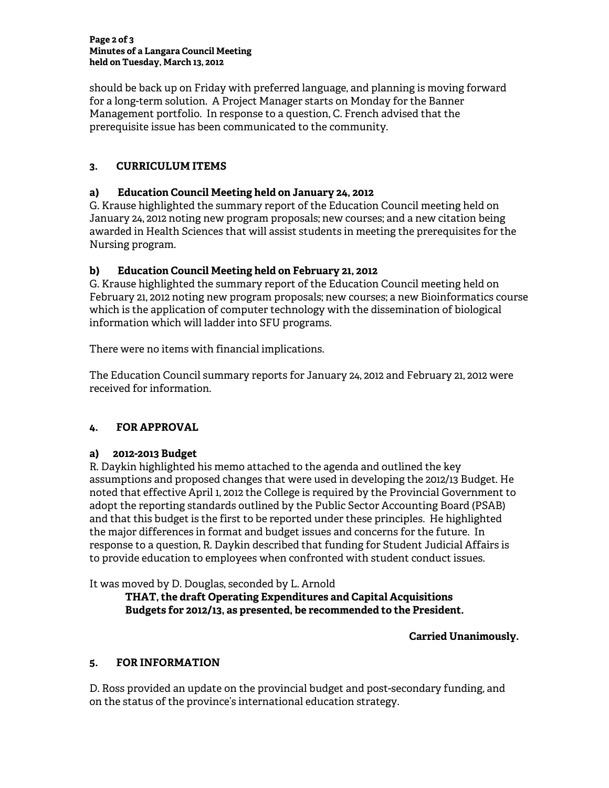#### **Page 2 of 3 Minutes of a Langara Council Meeting held on Tuesday, March 13, 2012**

should be back up on Friday with preferred language, and planning is moving forward for a long-term solution. A Project Manager starts on Monday for the Banner Management portfolio. In response to a question, C. French advised that the prerequisite issue has been communicated to the community.

# **3. CURRICULUM ITEMS**

# **a) Education Council Meeting held on January 24, 2012**

G. Krause highlighted the summary report of the Education Council meeting held on January 24, 2012 noting new program proposals; new courses; and a new citation being awarded in Health Sciences that will assist students in meeting the prerequisites for the Nursing program.

# **b) Education Council Meeting held on February 21, 2012**

G. Krause highlighted the summary report of the Education Council meeting held on February 21, 2012 noting new program proposals; new courses; a new Bioinformatics course which is the application of computer technology with the dissemination of biological information which will ladder into SFU programs.

There were no items with financial implications.

The Education Council summary reports for January 24, 2012 and February 21, 2012 were received for information.

# **4. FOR APPROVAL**

# **a) 2012-2013 Budget**

R. Daykin highlighted his memo attached to the agenda and outlined the key assumptions and proposed changes that were used in developing the 2012/13 Budget. He noted that effective April 1, 2012 the College is required by the Provincial Government to adopt the reporting standards outlined by the Public Sector Accounting Board (PSAB) and that this budget is the first to be reported under these principles. He highlighted the major differences in format and budget issues and concerns for the future. In response to a question, R. Daykin described that funding for Student Judicial Affairs is to provide education to employees when confronted with student conduct issues.

It was moved by D. Douglas, seconded by L. Arnold

 **THAT, the draft Operating Expenditures and Capital Acquisitions Budgets for 2012/13, as presented, be recommended to the President.** 

# **Carried Unanimously.**

# **5. FOR INFORMATION**

D. Ross provided an update on the provincial budget and post-secondary funding, and on the status of the province's international education strategy.